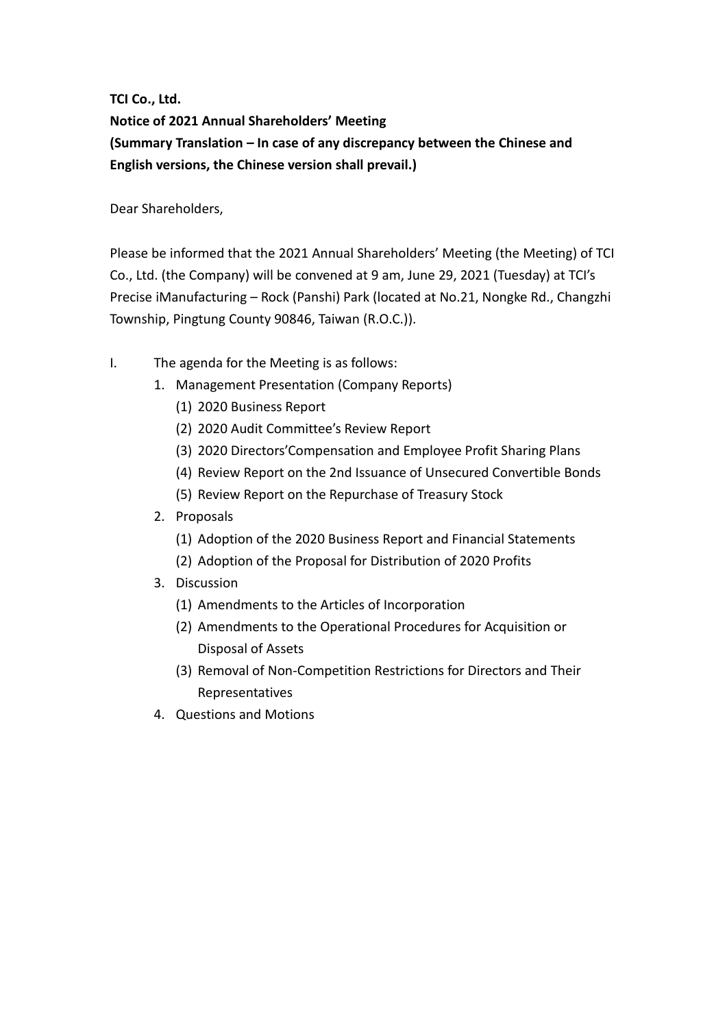**TCI Co., Ltd.**

**Notice of 2021 Annual Shareholders' Meeting (Summary Translation – In case of any discrepancy between the Chinese and English versions, the Chinese version shall prevail.)**

Dear Shareholders,

Please be informed that the 2021 Annual Shareholders' Meeting (the Meeting) of TCI Co., Ltd. (the Company) will be convened at 9 am, June 29, 2021 (Tuesday) at TCI's Precise iManufacturing – Rock (Panshi) Park (located at No.21, Nongke Rd., Changzhi Township, Pingtung County 90846, Taiwan (R.O.C.)).

- I. The agenda for the Meeting is as follows:
	- 1. Management Presentation (Company Reports)
		- (1) 2020 Business Report
		- (2) 2020 Audit Committee's Review Report
		- (3) 2020 Directors'Compensation and Employee Profit Sharing Plans
		- (4) Review Report on the 2nd Issuance of Unsecured Convertible Bonds
		- (5) Review Report on the Repurchase of Treasury Stock
	- 2. Proposals
		- (1) Adoption of the 2020 Business Report and Financial Statements
		- (2) Adoption of the Proposal for Distribution of 2020 Profits
	- 3. Discussion
		- (1) Amendments to the Articles of Incorporation
		- (2) Amendments to the Operational Procedures for Acquisition or Disposal of Assets
		- (3) Removal of Non-Competition Restrictions for Directors and Their Representatives
	- 4. Questions and Motions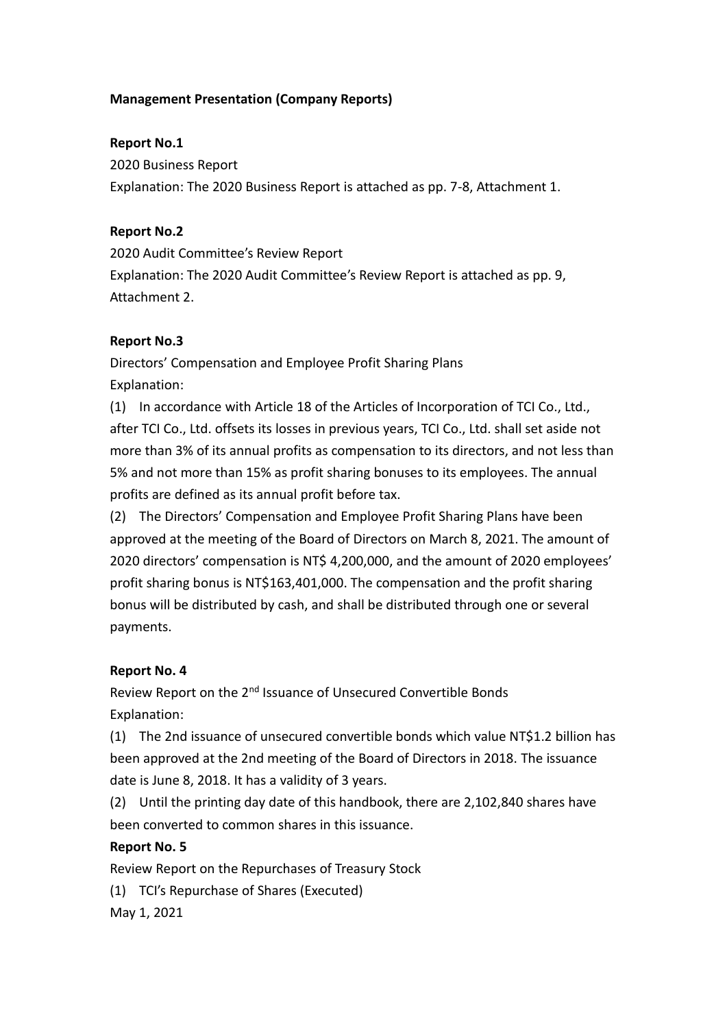#### **Management Presentation (Company Reports)**

#### **Report No.1**

2020 Business Report Explanation: The 2020 Business Report is attached as pp. 7-8, Attachment 1.

#### **Report No.2**

2020 Audit Committee's Review Report Explanation: The 2020 Audit Committee's Review Report is attached as pp. 9, Attachment 2.

#### **Report No.3**

Directors' Compensation and Employee Profit Sharing Plans Explanation:

(1) In accordance with Article 18 of the Articles of Incorporation of TCI Co., Ltd., after TCI Co., Ltd. offsets its losses in previous years, TCI Co., Ltd. shall set aside not more than 3% of its annual profits as compensation to its directors, and not less than 5% and not more than 15% as profit sharing bonuses to its employees. The annual profits are defined as its annual profit before tax.

(2) The Directors' Compensation and Employee Profit Sharing Plans have been approved at the meeting of the Board of Directors on March 8, 2021. The amount of 2020 directors' compensation is NT\$ 4,200,000, and the amount of 2020 employees' profit sharing bonus is NT\$163,401,000. The compensation and the profit sharing bonus will be distributed by cash, and shall be distributed through one or several payments.

#### **Report No. 4**

Review Report on the 2<sup>nd</sup> Issuance of Unsecured Convertible Bonds Explanation:

(1) The 2nd issuance of unsecured convertible bonds which value NT\$1.2 billion has been approved at the 2nd meeting of the Board of Directors in 2018. The issuance date is June 8, 2018. It has a validity of 3 years.

(2) Until the printing day date of this handbook, there are 2,102,840 shares have been converted to common shares in this issuance.

#### **Report No. 5**

Review Report on the Repurchases of Treasury Stock

(1) TCI's Repurchase of Shares (Executed)

May 1, 2021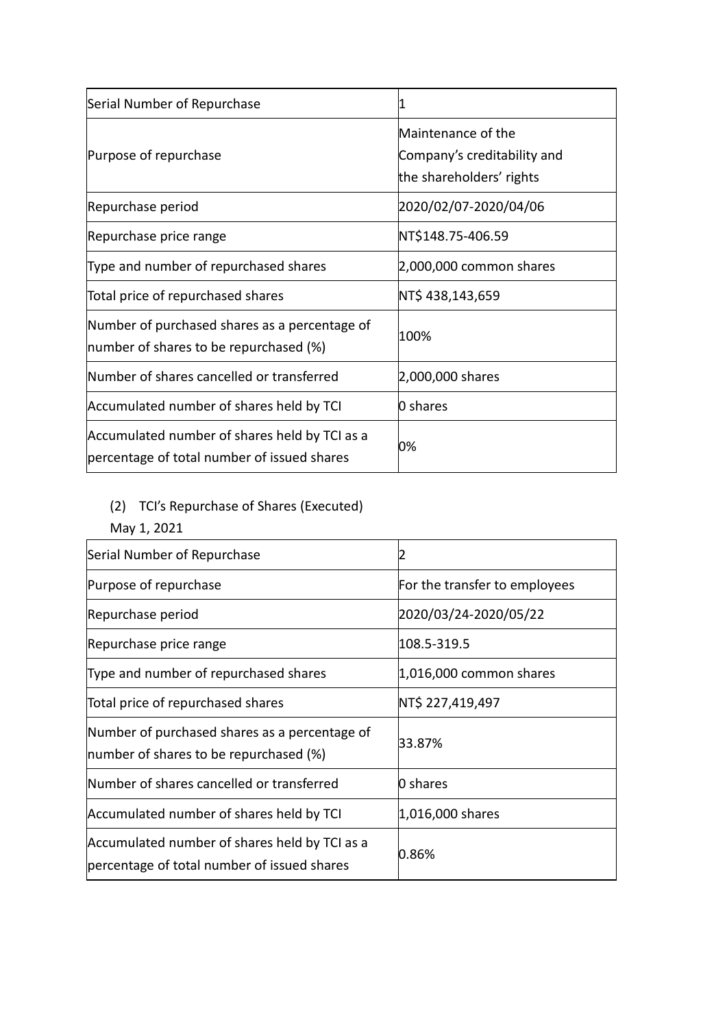| Serial Number of Repurchase                                                                  |                                                                               |
|----------------------------------------------------------------------------------------------|-------------------------------------------------------------------------------|
| Purpose of repurchase                                                                        | Maintenance of the<br>Company's creditability and<br>the shareholders' rights |
| Repurchase period                                                                            | 2020/02/07-2020/04/06                                                         |
| Repurchase price range                                                                       | NT\$148.75-406.59                                                             |
| Type and number of repurchased shares                                                        | $2,000,000$ common shares                                                     |
| Total price of repurchased shares                                                            | NT\$ 438,143,659                                                              |
| Number of purchased shares as a percentage of<br>Inumber of shares to be repurchased (%)     | 100%                                                                          |
| Number of shares cancelled or transferred                                                    | 2,000,000 shares                                                              |
| Accumulated number of shares held by TCI                                                     | 0 shares                                                                      |
| Accumulated number of shares held by TCI as a<br>percentage of total number of issued shares | 0%                                                                            |

# (2) TCI's Repurchase of Shares (Executed)

May 1, 2021

| Serial Number of Repurchase                                                                  |                               |
|----------------------------------------------------------------------------------------------|-------------------------------|
| Purpose of repurchase                                                                        | For the transfer to employees |
| Repurchase period                                                                            | 2020/03/24-2020/05/22         |
| Repurchase price range                                                                       | 108.5-319.5                   |
| Type and number of repurchased shares                                                        | $ 1,016,000$ common shares    |
| Total price of repurchased shares                                                            | NT\$ 227,419,497              |
| Number of purchased shares as a percentage of<br>Inumber of shares to be repurchased (%)     | 33.87%                        |
| Number of shares cancelled or transferred                                                    | 0 shares                      |
| Accumulated number of shares held by TCI                                                     | 1,016,000 shares              |
| Accumulated number of shares held by TCI as a<br>percentage of total number of issued shares | 0.86%                         |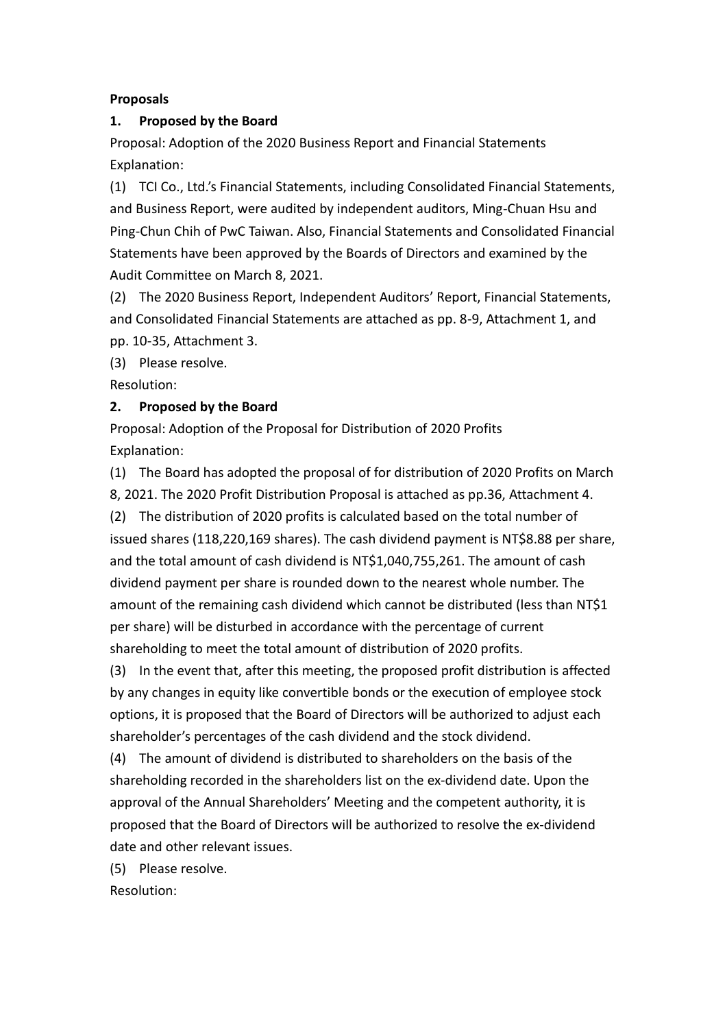#### **Proposals**

#### **1. Proposed by the Board**

Proposal: Adoption of the 2020 Business Report and Financial Statements Explanation:

(1) TCI Co., Ltd.'s Financial Statements, including Consolidated Financial Statements, and Business Report, were audited by independent auditors, Ming-Chuan Hsu and Ping-Chun Chih of PwC Taiwan. Also, Financial Statements and Consolidated Financial Statements have been approved by the Boards of Directors and examined by the Audit Committee on March 8, 2021.

(2) The 2020 Business Report, Independent Auditors' Report, Financial Statements, and Consolidated Financial Statements are attached as pp. 8-9, Attachment 1, and pp. 10-35, Attachment 3.

(3) Please resolve.

Resolution:

#### **2. Proposed by the Board**

Proposal: Adoption of the Proposal for Distribution of 2020 Profits Explanation:

(1) The Board has adopted the proposal of for distribution of 2020 Profits on March 8, 2021. The 2020 Profit Distribution Proposal is attached as pp.36, Attachment 4. (2) The distribution of 2020 profits is calculated based on the total number of issued shares (118,220,169 shares). The cash dividend payment is NT\$8.88 per share, and the total amount of cash dividend is NT\$1,040,755,261. The amount of cash dividend payment per share is rounded down to the nearest whole number. The amount of the remaining cash dividend which cannot be distributed (less than NT\$1 per share) will be disturbed in accordance with the percentage of current shareholding to meet the total amount of distribution of 2020 profits.

(3) In the event that, after this meeting, the proposed profit distribution is affected by any changes in equity like convertible bonds or the execution of employee stock options, it is proposed that the Board of Directors will be authorized to adjust each shareholder's percentages of the cash dividend and the stock dividend.

(4) The amount of dividend is distributed to shareholders on the basis of the shareholding recorded in the shareholders list on the ex-dividend date. Upon the approval of the Annual Shareholders' Meeting and the competent authority, it is proposed that the Board of Directors will be authorized to resolve the ex-dividend date and other relevant issues.

(5) Please resolve.

Resolution: